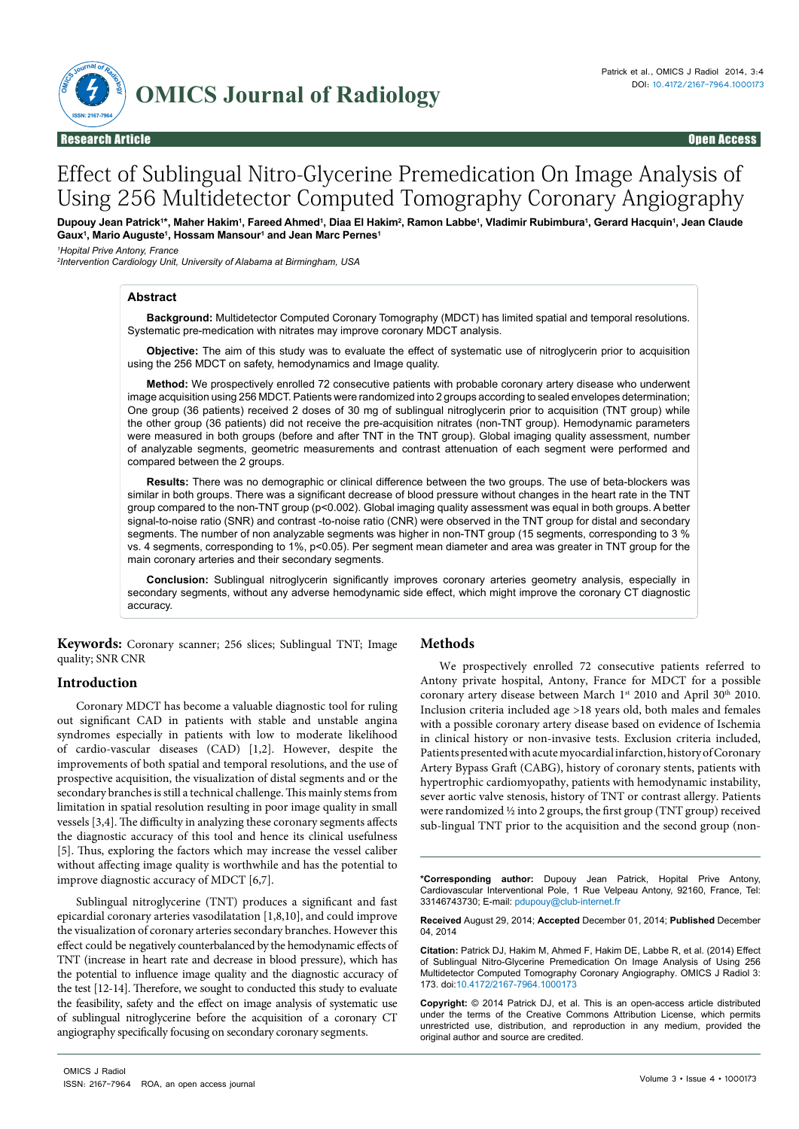

# Effect of Sublingual Nitro-Glycerine Premedication On Image Analysis of Using 256 Multidetector Computed Tomography Coronary Angiography

Dupouy Jean Patrick'\*, Maher Hakim', Fareed Ahmed', Diaa El Hakim<del>'</del>, Ramon Labbe', Vladimir Rubimbura', Gerard Hacquin', Jean Claude **Gaux1 , Mario Auguste1 , Hossam Mansour1 and Jean Marc Pernes1**

*1 Hopital Prive Antony, France*

*2 Intervention Cardiology Unit, University of Alabama at Birmingham, USA*

#### **Abstract**

**Background:** Multidetector Computed Coronary Tomography (MDCT) has limited spatial and temporal resolutions. Systematic pre-medication with nitrates may improve coronary MDCT analysis.

**Objective:** The aim of this study was to evaluate the effect of systematic use of nitroglycerin prior to acquisition using the 256 MDCT on safety, hemodynamics and Image quality.

**Method:** We prospectively enrolled 72 consecutive patients with probable coronary artery disease who underwent image acquisition using 256 MDCT. Patients were randomized into 2 groups according to sealed envelopes determination; One group (36 patients) received 2 doses of 30 mg of sublingual nitroglycerin prior to acquisition (TNT group) while the other group (36 patients) did not receive the pre-acquisition nitrates (non-TNT group). Hemodynamic parameters were measured in both groups (before and after TNT in the TNT group). Global imaging quality assessment, number of analyzable segments, geometric measurements and contrast attenuation of each segment were performed and compared between the 2 groups.

**Results:** There was no demographic or clinical difference between the two groups. The use of beta-blockers was similar in both groups. There was a significant decrease of blood pressure without changes in the heart rate in the TNT group compared to the non-TNT group (p<0.002). Global imaging quality assessment was equal in both groups. A better signal-to-noise ratio (SNR) and contrast -to-noise ratio (CNR) were observed in the TNT group for distal and secondary segments. The number of non analyzable segments was higher in non-TNT group (15 segments, corresponding to 3 % vs. 4 segments, corresponding to 1%, p<0.05). Per segment mean diameter and area was greater in TNT group for the main coronary arteries and their secondary segments.

**Conclusion:** Sublingual nitroglycerin significantly improves coronary arteries geometry analysis, especially in secondary segments, without any adverse hemodynamic side effect, which might improve the coronary CT diagnostic accuracy.

**Keywords:** Coronary scanner; 256 slices; Sublingual TNT; Image quality; SNR CNR

## **Introduction**

Coronary MDCT has become a valuable diagnostic tool for ruling out significant CAD in patients with stable and unstable angina syndromes especially in patients with low to moderate likelihood of cardio-vascular diseases (CAD) [1,2]. However, despite the improvements of both spatial and temporal resolutions, and the use of prospective acquisition, the visualization of distal segments and or the secondary branches is still a technical challenge. This mainly stems from limitation in spatial resolution resulting in poor image quality in small vessels [3,4]. The difficulty in analyzing these coronary segments affects the diagnostic accuracy of this tool and hence its clinical usefulness [5]. Thus, exploring the factors which may increase the vessel caliber without affecting image quality is worthwhile and has the potential to improve diagnostic accuracy of MDCT [6,7].

Sublingual nitroglycerine (TNT) produces a significant and fast epicardial coronary arteries vasodilatation [1,8,10], and could improve the visualization of coronary arteries secondary branches. However this effect could be negatively counterbalanced by the hemodynamic effects of TNT (increase in heart rate and decrease in blood pressure), which has the potential to influence image quality and the diagnostic accuracy of the test [12-14]. Therefore, we sought to conducted this study to evaluate the feasibility, safety and the effect on image analysis of systematic use of sublingual nitroglycerine before the acquisition of a coronary CT angiography specifically focusing on secondary coronary segments.

## **Methods**

We prospectively enrolled 72 consecutive patients referred to Antony private hospital, Antony, France for MDCT for a possible coronary artery disease between March 1st 2010 and April 30<sup>th</sup> 2010. Inclusion criteria included age >18 years old, both males and females with a possible coronary artery disease based on evidence of Ischemia in clinical history or non-invasive tests. Exclusion criteria included, Patients presented with acute myocardial infarction, history of Coronary Artery Bypass Graft (CABG), history of coronary stents, patients with hypertrophic cardiomyopathy, patients with hemodynamic instability, sever aortic valve stenosis, history of TNT or contrast allergy. Patients were randomized ½ into 2 groups, the first group (TNT group) received sub-lingual TNT prior to the acquisition and the second group (non-

**\*Corresponding author:** Dupouy Jean Patrick, Hopital Prive Antony, Cardiovascular Interventional Pole, 1 Rue Velpeau Antony, 92160, France, Tel: 33146743730; E-mail: pdupouy@club-internet.fr

**Received** August 29, 2014; **Accepted** December 01, 2014; **Published** December 04, 2014

**Citation:** Patrick DJ, Hakim M, Ahmed F, Hakim DE, Labbe R, et al. (2014) Effect of Sublingual Nitro-Glycerine Premedication On Image Analysis of Using 256 Multidetector Computed Tomography Coronary Angiography. OMICS J Radiol 3: 173. doi:10.4172/2167-7964.1000173

**Copyright:** © 2014 Patrick DJ, et al. This is an open-access article distributed under the terms of the Creative Commons Attribution License, which permits unrestricted use, distribution, and reproduction in any medium, provided the original author and source are credited.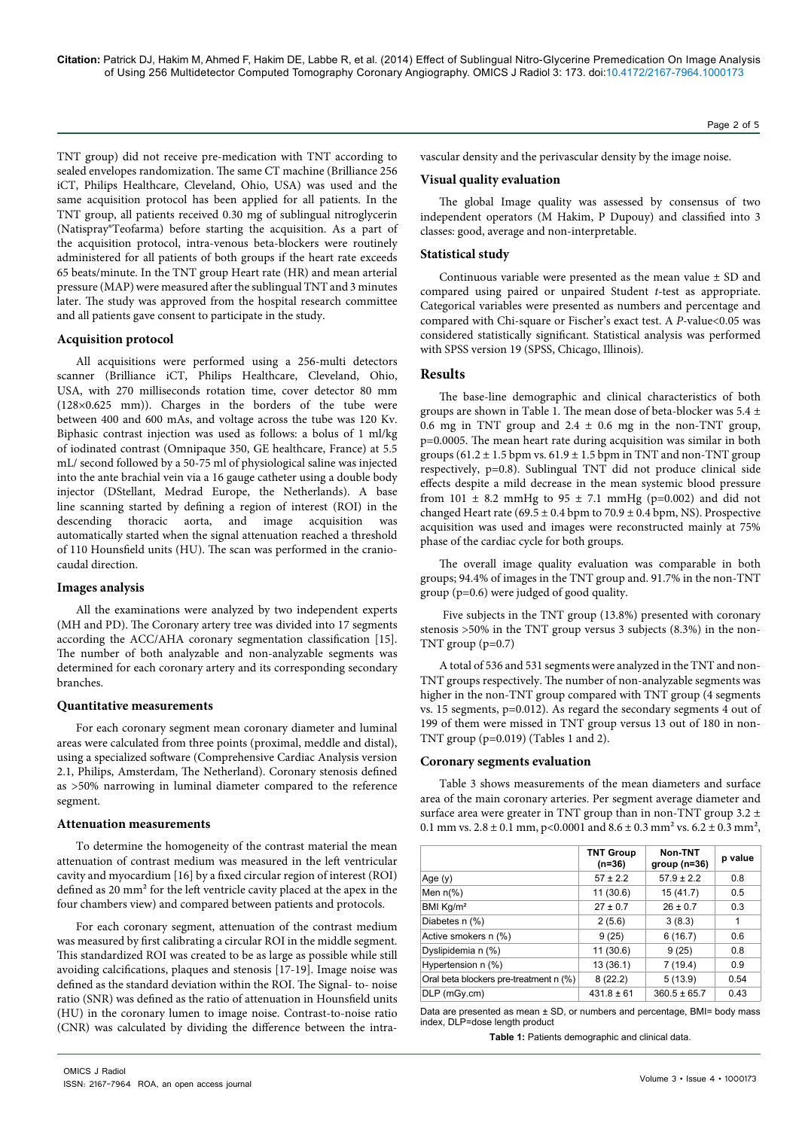**Citation:** Patrick DJ, Hakim M, Ahmed F, Hakim DE, Labbe R, et al. (2014) Effect of Sublingual Nitro-Glycerine Premedication On Image Analysis of Using 256 Multidetector Computed Tomography Coronary Angiography. OMICS J Radiol 3: 173. doi:10.4172/2167-7964.1000173

TNT group) did not receive pre-medication with TNT according to sealed envelopes randomization. The same CT machine (Brilliance 256 iCT, Philips Healthcare, Cleveland, Ohio, USA) was used and the same acquisition protocol has been applied for all patients. In the TNT group, all patients received 0.30 mg of sublingual nitroglycerin (Natispray®Teofarma) before starting the acquisition. As a part of the acquisition protocol, intra-venous beta-blockers were routinely administered for all patients of both groups if the heart rate exceeds 65 beats/minute. In the TNT group Heart rate (HR) and mean arterial pressure (MAP) were measured after the sublingual TNT and 3 minutes later. The study was approved from the hospital research committee and all patients gave consent to participate in the study.

## **Acquisition protocol**

All acquisitions were performed using a 256-multi detectors scanner (Brilliance iCT, Philips Healthcare, Cleveland, Ohio, USA, with 270 milliseconds rotation time, cover detector 80 mm (128×0.625 mm)). Charges in the borders of the tube were between 400 and 600 mAs, and voltage across the tube was 120 Kv. Biphasic contrast injection was used as follows: a bolus of 1 ml/kg of iodinated contrast (Omnipaque 350, GE healthcare, France) at 5.5 mL/ second followed by a 50-75 ml of physiological saline was injected into the ante brachial vein via a 16 gauge catheter using a double body injector (DStellant, Medrad Europe, the Netherlands). A base line scanning started by defining a region of interest (ROI) in the descending thoracic aorta, and image acquisition was automatically started when the signal attenuation reached a threshold of 110 Hounsfield units (HU). The scan was performed in the craniocaudal direction.

#### **Images analysis**

All the examinations were analyzed by two independent experts (MH and PD). The Coronary artery tree was divided into 17 segments according the ACC/AHA coronary segmentation classification [15]. The number of both analyzable and non-analyzable segments was determined for each coronary artery and its corresponding secondary branches.

#### **Quantitative measurements**

For each coronary segment mean coronary diameter and luminal areas were calculated from three points (proximal, meddle and distal), using a specialized software (Comprehensive Cardiac Analysis version 2.1, Philips, Amsterdam, The Netherland). Coronary stenosis defined as >50% narrowing in luminal diameter compared to the reference segment.

#### **Attenuation measurements**

To determine the homogeneity of the contrast material the mean attenuation of contrast medium was measured in the left ventricular cavity and myocardium [16] by a fixed circular region of interest (ROI) defined as 20 mm² for the left ventricle cavity placed at the apex in the four chambers view) and compared between patients and protocols.

For each coronary segment, attenuation of the contrast medium was measured by first calibrating a circular ROI in the middle segment. This standardized ROI was created to be as large as possible while still avoiding calcifications, plaques and stenosis [17-19]. Image noise was defined as the standard deviation within the ROI. The Signal- to- noise ratio (SNR) was defined as the ratio of attenuation in Hounsfield units (HU) in the coronary lumen to image noise. Contrast-to-noise ratio (CNR) was calculated by dividing the difference between the intravascular density and the perivascular density by the image noise.

### **Visual quality evaluation**

The global Image quality was assessed by consensus of two independent operators (M Hakim, P Dupouy) and classified into 3 classes: good, average and non-interpretable.

Page 2 of 5

## **Statistical study**

Continuous variable were presented as the mean value  $\pm$  SD and compared using paired or unpaired Student *t-*test as appropriate. Categorical variables were presented as numbers and percentage and compared with Chi-square or Fischer's exact test. A *P-*value<0.05 was considered statistically significant. Statistical analysis was performed with SPSS version 19 (SPSS, Chicago, Illinois)*.*

## **Results**

The base-line demographic and clinical characteristics of both groups are shown in Table 1. The mean dose of beta-blocker was 5.4 ± 0.6 mg in TNT group and  $2.4 \pm 0.6$  mg in the non-TNT group, p=0.0005. The mean heart rate during acquisition was similar in both groups (61.2  $\pm$  1.5 bpm vs. 61.9  $\pm$  1.5 bpm in TNT and non-TNT group respectively, p=0.8). Sublingual TNT did not produce clinical side effects despite a mild decrease in the mean systemic blood pressure from  $101 \pm 8.2$  mmHg to  $95 \pm 7.1$  mmHg (p=0.002) and did not changed Heart rate (69.5  $\pm$  0.4 bpm to 70.9  $\pm$  0.4 bpm, NS). Prospective acquisition was used and images were reconstructed mainly at 75% phase of the cardiac cycle for both groups.

The overall image quality evaluation was comparable in both groups; 94.4% of images in the TNT group and. 91.7% in the non-TNT group (p=0.6) were judged of good quality.

 Five subjects in the TNT group (13.8%) presented with coronary stenosis >50% in the TNT group versus 3 subjects (8.3%) in the non-TNT group (p=0.7)

A total of 536 and 531 segments were analyzed in the TNT and non-TNT groups respectively. The number of non-analyzable segments was higher in the non-TNT group compared with TNT group (4 segments vs. 15 segments, p=0.012). As regard the secondary segments 4 out of 199 of them were missed in TNT group versus 13 out of 180 in non-TNT group (p=0.019) (Tables 1 and 2).

#### **Coronary segments evaluation**

Table 3 shows measurements of the mean diameters and surface area of the main coronary arteries. Per segment average diameter and surface area were greater in TNT group than in non-TNT group  $3.2 \pm$ 0.1 mm vs.  $2.8 \pm 0.1$  mm, p<0.0001 and  $8.6 \pm 0.3$  mm<sup>2</sup> vs.  $6.2 \pm 0.3$  mm<sup>2</sup>,

|                                        | <b>TNT Group</b><br>$(n=36)$ | Non-TNT<br>group $(n=36)$ | p value |  |
|----------------------------------------|------------------------------|---------------------------|---------|--|
| Age $(y)$                              | $57 \pm 2.2$                 | $57.9 \pm 2.2$            | 0.8     |  |
| Men $n(\%)$                            | 11 (30.6)                    | 15(41.7)                  | 0.5     |  |
| BMI Kg/m <sup>2</sup>                  | $27 \pm 0.7$                 | $26 \pm 0.7$              | 0.3     |  |
| Diabetes n (%)                         | 2(5.6)                       | 3(8.3)                    | 1       |  |
| Active smokers n (%)                   | 9(25)                        | 6(16.7)                   | 0.6     |  |
| Dyslipidemia n (%)                     | 11 (30.6)                    | 9(25)                     | 0.8     |  |
| Hypertension n (%)                     | 13 (36.1)                    | 7(19.4)                   | 0.9     |  |
| Oral beta blockers pre-treatment n (%) | 8(22.2)                      | 5(13.9)                   | 0.54    |  |
| $DLP$ (m $Gy.cm$ )                     | $431.8 \pm 61$               | $360.5 \pm 65.7$          | 0.43    |  |

Data are presented as mean ± SD, or numbers and percentage, BMI= body mass index, DLP=dose length product

**Table 1:** Patients demographic and clinical data.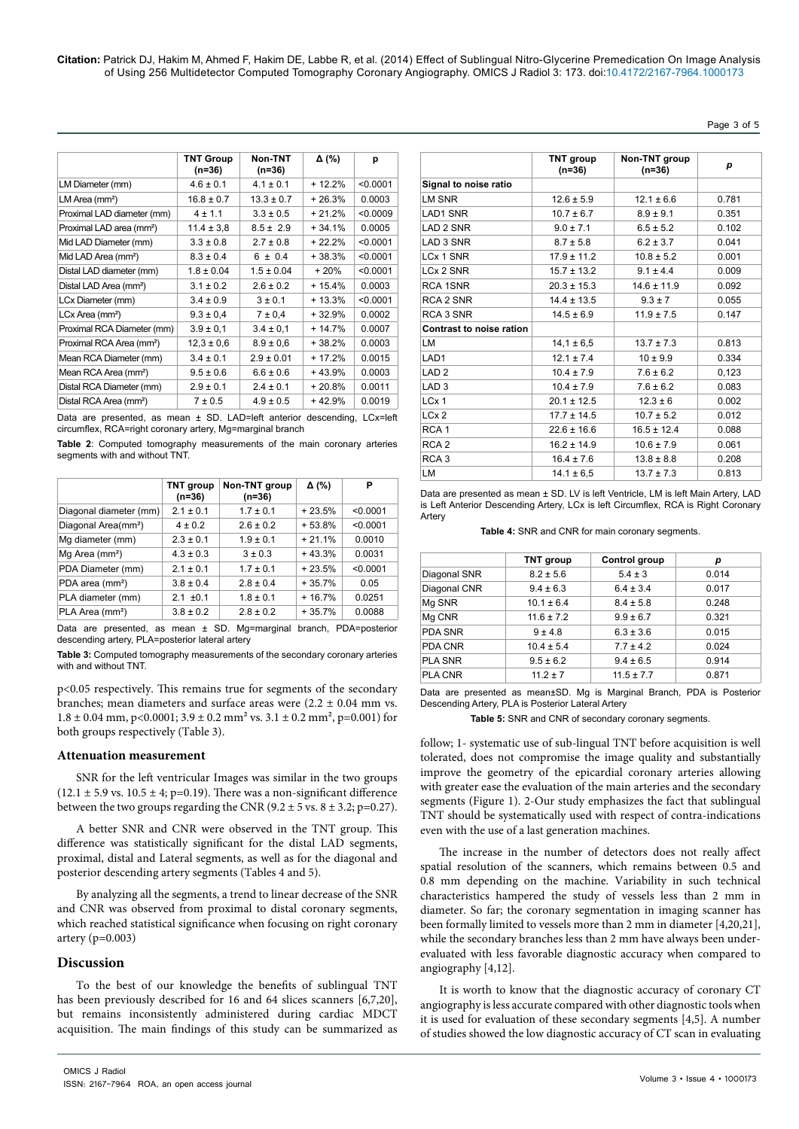**Citation:** Patrick DJ, Hakim M, Ahmed F, Hakim DE, Labbe R, et al. (2014) Effect of Sublingual Nitro-Glycerine Premedication On Image Analysis of Using 256 Multidetector Computed Tomography Coronary Angiography. OMICS J Radiol 3: 173. doi:10.4172/2167-7964.1000173

Page 3 of 5

|                                      | <b>TNT Group</b><br>$(n=36)$ | Non-TNT<br>$(n=36)$ | Δ (%)    | р        |
|--------------------------------------|------------------------------|---------------------|----------|----------|
| LM Diameter (mm)                     | $4.6 \pm 0.1$                | $4.1 \pm 0.1$       | $+12.2%$ | < 0.0001 |
| LM Area (mm <sup>2</sup> )           | $16.8 \pm 0.7$               | $13.3 \pm 0.7$      | $+26.3%$ | 0.0003   |
| Proximal LAD diameter (mm)           | $4 \pm 1.1$                  | $3.3 \pm 0.5$       | $+21.2%$ | < 0.0009 |
| Proximal LAD area (mm <sup>2</sup> ) | $11.4 \pm 3.8$               | $8.5 \pm 2.9$       | $+34.1%$ | 0.0005   |
| Mid LAD Diameter (mm)                | $3.3 \pm 0.8$                | $2.7 \pm 0.8$       | $+22.2%$ | < 0.0001 |
| Mid LAD Area (mm <sup>2</sup> )      | $8.3 \pm 0.4$                | $6 \pm 0.4$         | $+38.3%$ | < 0.0001 |
| Distal LAD diameter (mm)             | $1.8 \pm 0.04$               | $1.5 \pm 0.04$      | $+20%$   | < 0.0001 |
| Distal LAD Area (mm <sup>2</sup> )   | $3.1 \pm 0.2$                | $2.6 \pm 0.2$       | $+15.4%$ | 0.0003   |
| LCx Diameter (mm)                    | $3.4 \pm 0.9$                | $3 \pm 0.1$         | $+13.3%$ | < 0.0001 |
| LCx Area (mm <sup>2</sup> )          | $9.3 \pm 0.4$                | 7 ± 0.4             | $+32.9%$ | 0.0002   |
| Proximal RCA Diameter (mm)           | $3.9 \pm 0.1$                | $3.4 \pm 0.1$       | $+14.7%$ | 0.0007   |
| Proximal RCA Area (mm <sup>2</sup> ) | $12,3 \pm 0,6$               | $8.9 \pm 0.6$       | $+38.2%$ | 0.0003   |
| Mean RCA Diameter (mm)               | $3.4 \pm 0.1$                | $2.9 \pm 0.01$      | $+17.2%$ | 0.0015   |
| Mean RCA Area (mm <sup>2</sup> )     | $9.5 \pm 0.6$                | $6.6 \pm 0.6$       | $+43.9%$ | 0.0003   |
| Distal RCA Diameter (mm)             | $2.9 \pm 0.1$                | $2.4 \pm 0.1$       | $+20.8%$ | 0.0011   |
| Distal RCA Area (mm <sup>2</sup> )   | $7 \pm 0.5$                  | $4.9 \pm 0.5$       | $+42.9%$ | 0.0019   |

Data are presented, as mean ± SD. LAD=left anterior descending, LCx=left circumflex, RCA=right coronary artery, Mg=marginal branch

**Table 2**: Computed tomography measurements of the main coronary arteries segments with and without TNT.

|                                 | <b>TNT</b> group<br>$(n=36)$ | Non-TNT group<br>$(n=36)$ | Δ (%)    | P        |
|---------------------------------|------------------------------|---------------------------|----------|----------|
| Diagonal diameter (mm)          | $2.1 \pm 0.1$                | $1.7 \pm 0.1$             | $+23.5%$ | < 0.0001 |
| Diagonal Area(mm <sup>2</sup> ) | $4 \pm 0.2$                  | $2.6 \pm 0.2$             | $+53.8%$ | < 0.0001 |
| Mg diameter (mm)                | $2.3 \pm 0.1$                | $1.9 \pm 0.1$             | $+21.1%$ | 0.0010   |
| Mg Area (mm <sup>2</sup> )      | $4.3 \pm 0.3$                | $3 \pm 0.3$               | $+43.3%$ | 0.0031   |
| PDA Diameter (mm)               | $2.1 \pm 0.1$                | $1.7 \pm 0.1$             | $+23.5%$ | < 0.0001 |
| PDA area (mm <sup>2</sup> )     | $3.8 \pm 0.4$                | $2.8 \pm 0.4$             | $+35.7%$ | 0.05     |
| PLA diameter (mm)               | $2.1 \pm 0.1$                | $1.8 \pm 0.1$             | $+16.7%$ | 0.0251   |
| PLA Area (mm <sup>2</sup> )     | $3.8 \pm 0.2$                | $2.8 \pm 0.2$             | $+35.7%$ | 0.0088   |

Data are presented, as mean ± SD. Mg=marginal branch, PDA=posterior descending artery, PLA=posterior lateral artery

**Table 3:** Computed tomography measurements of the secondary coronary arteries with and without TNT.

p<0.05 respectively. This remains true for segments of the secondary branches; mean diameters and surface areas were (2.2 ± 0.04 mm vs.  $1.8 \pm 0.04$  mm, p<0.0001;  $3.9 \pm 0.2$  mm<sup>2</sup> vs.  $3.1 \pm 0.2$  mm<sup>2</sup>, p=0.001) for both groups respectively (Table 3).

### **Attenuation measurement**

SNR for the left ventricular Images was similar in the two groups  $(12.1 \pm 5.9 \text{ vs. } 10.5 \pm 4; \text{ p=0.19}).$  There was a non-significant difference between the two groups regarding the CNR (9.2  $\pm$  5 vs. 8  $\pm$  3.2; p=0.27).

A better SNR and CNR were observed in the TNT group. This difference was statistically significant for the distal LAD segments, proximal, distal and Lateral segments, as well as for the diagonal and posterior descending artery segments (Tables 4 and 5).

By analyzing all the segments, a trend to linear decrease of the SNR and CNR was observed from proximal to distal coronary segments, which reached statistical significance when focusing on right coronary artery  $(p=0.003)$ 

## **Discussion**

To the best of our knowledge the benefits of sublingual TNT has been previously described for 16 and 64 slices scanners [6,7,20], but remains inconsistently administered during cardiac MDCT acquisition. The main findings of this study can be summarized as

|                          | TNT group<br>$(n=36)$ | Non-TNT group<br>$(n=36)$ | р     |
|--------------------------|-----------------------|---------------------------|-------|
| Signal to noise ratio    |                       |                           |       |
| LM SNR                   | $12.6 \pm 5.9$        | $12.1 \pm 6.6$            | 0.781 |
| <b>LAD1 SNR</b>          | $10.7 \pm 6.7$        | $8.9 \pm 9.1$             | 0.351 |
| <b>LAD 2 SNR</b>         | $9.0 \pm 7.1$         | $6.5 \pm 5.2$             | 0.102 |
| LAD 3 SNR                | $8.7 \pm 5.8$         | $6.2 \pm 3.7$             | 0.041 |
| LCx 1 SNR                | $17.9 \pm 11.2$       | $10.8 \pm 5.2$            | 0.001 |
| LCx 2 SNR                | $15.7 \pm 13.2$       | $9.1 \pm 4.4$             | 0.009 |
| RCA 1SNR                 | $20.3 \pm 15.3$       | $14.6 \pm 11.9$           | 0.092 |
| RCA 2 SNR                | $14.4 \pm 13.5$       | $9.3 \pm 7$               | 0.055 |
| RCA 3 SNR                | $14.5 \pm 6.9$        | $11.9 \pm 7.5$            | 0.147 |
| Contrast to noise ration |                       |                           |       |
| LM                       | $14.1 \pm 6.5$        | $13.7 \pm 7.3$            | 0.813 |
| LAD <sub>1</sub>         | $12.1 \pm 7.4$        | $10 \pm 9.9$              | 0.334 |
| LAD <sub>2</sub>         | $10.4 \pm 7.9$        | $7.6 \pm 6.2$             | 0.123 |
| LAD <sub>3</sub>         | $10.4 \pm 7.9$        | $7.6 \pm 6.2$             | 0.083 |
| LCx 1                    | $20.1 \pm 12.5$       | $12.3 \pm 6$              | 0.002 |
| LCx <sub>2</sub>         | $17.7 \pm 14.5$       | $10.7 \pm 5.2$            | 0.012 |
| RCA <sub>1</sub>         | $22.6 \pm 16.6$       | $16.5 \pm 12.4$           | 0.088 |
| RCA <sub>2</sub>         | $16.2 \pm 14.9$       | $10.6 \pm 7.9$            | 0.061 |
| RCA <sub>3</sub>         | $16.4 \pm 7.6$        | $13.8 \pm 8.8$            | 0.208 |
| LM                       | $14.1 \pm 6.5$        | $13.7 \pm 7.3$            | 0.813 |

Data are presented as mean ± SD. LV is left Ventricle, LM is left Main Artery, LAD is Left Anterior Descending Artery, LCx is left Circumflex, RCA is Right Coronary Artery

**Table 4:** SNR and CNR for main coronary segments.

|                | <b>TNT group</b> | Control group  | p     |
|----------------|------------------|----------------|-------|
| Diagonal SNR   | $8.2 \pm 5.6$    | $5.4 \pm 3$    | 0.014 |
| Diagonal CNR   | $9.4 \pm 6.3$    | $6.4 \pm 3.4$  | 0.017 |
| Mg SNR         | $10.1 \pm 6.4$   | $8.4 \pm 5.8$  | 0.248 |
| Mg CNR         | $11.6 \pm 7.2$   | $9.9 \pm 6.7$  | 0.321 |
| <b>PDA SNR</b> | $9 \pm 4.8$      | $6.3 \pm 3.6$  | 0.015 |
| PDA CNR        | $10.4 \pm 5.4$   | $7.7 \pm 4.2$  | 0.024 |
| <b>PLA SNR</b> | $9.5 \pm 6.2$    | $9.4 \pm 6.5$  | 0.914 |
| PLA CNR        | $11.2 \pm 7$     | $11.5 \pm 7.7$ | 0.871 |

Data are presented as mean±SD. Mg is Marginal Branch, PDA is Posterior Descending Artery, PLA is Posterior Lateral Artery

**Table 5:** SNR and CNR of secondary coronary segments.

follow; 1- systematic use of sub-lingual TNT before acquisition is well tolerated, does not compromise the image quality and substantially improve the geometry of the epicardial coronary arteries allowing with greater ease the evaluation of the main arteries and the secondary segments (Figure 1). 2-Our study emphasizes the fact that sublingual TNT should be systematically used with respect of contra-indications even with the use of a last generation machines.

The increase in the number of detectors does not really affect spatial resolution of the scanners, which remains between 0.5 and 0.8 mm depending on the machine. Variability in such technical characteristics hampered the study of vessels less than 2 mm in diameter. So far; the coronary segmentation in imaging scanner has been formally limited to vessels more than 2 mm in diameter [4,20,21], while the secondary branches less than 2 mm have always been underevaluated with less favorable diagnostic accuracy when compared to angiography [4,12].

It is worth to know that the diagnostic accuracy of coronary CT angiography is less accurate compared with other diagnostic tools when it is used for evaluation of these secondary segments [4,5]. A number of studies showed the low diagnostic accuracy of CT scan in evaluating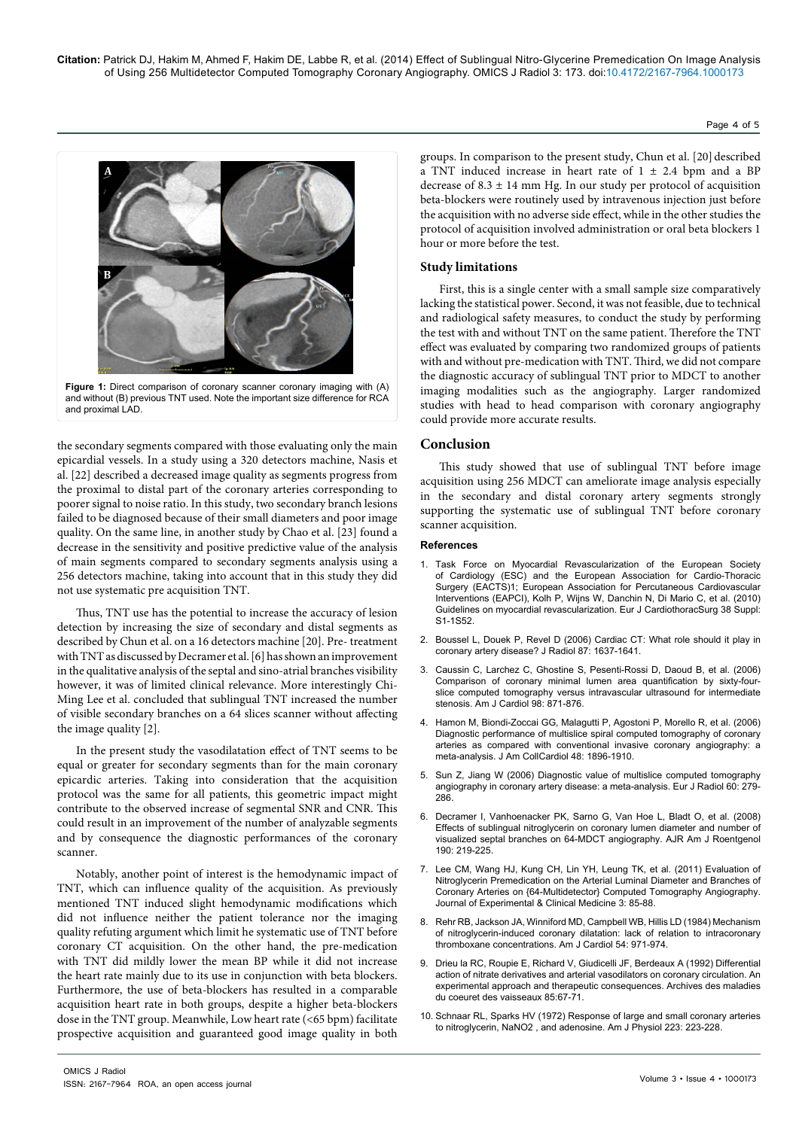

Figure 1: Direct comparison of coronary scanner coronary imaging with (A) and without (B) previous TNT used. Note the important size difference for RCA and proximal LAD.

the secondary segments compared with those evaluating only the main epicardial vessels. In a study using a 320 detectors machine, Nasis et al. [22] described a decreased image quality as segments progress from the proximal to distal part of the coronary arteries corresponding to poorer signal to noise ratio. In this study, two secondary branch lesions failed to be diagnosed because of their small diameters and poor image quality. On the same line, in another study by Chao et al. [23] found a decrease in the sensitivity and positive predictive value of the analysis of main segments compared to secondary segments analysis using a 256 detectors machine, taking into account that in this study they did not use systematic pre acquisition TNT.

Thus, TNT use has the potential to increase the accuracy of lesion detection by increasing the size of secondary and distal segments as described by Chun et al. on a 16 detectors machine [20]. Pre- treatment with TNT as discussed by Decramer et al. [6] has shown an improvement in the qualitative analysis of the septal and sino-atrial branches visibility however, it was of limited clinical relevance. More interestingly Chi-Ming Lee et al. concluded that sublingual TNT increased the number of visible secondary branches on a 64 slices scanner without affecting the image quality [2].

In the present study the vasodilatation effect of TNT seems to be equal or greater for secondary segments than for the main coronary epicardic arteries. Taking into consideration that the acquisition protocol was the same for all patients, this geometric impact might contribute to the observed increase of segmental SNR and CNR. This could result in an improvement of the number of analyzable segments and by consequence the diagnostic performances of the coronary scanner.

Notably, another point of interest is the hemodynamic impact of TNT, which can influence quality of the acquisition. As previously mentioned TNT induced slight hemodynamic modifications which did not influence neither the patient tolerance nor the imaging quality refuting argument which limit he systematic use of TNT before coronary CT acquisition. On the other hand, the pre-medication with TNT did mildly lower the mean BP while it did not increase the heart rate mainly due to its use in conjunction with beta blockers. Furthermore, the use of beta-blockers has resulted in a comparable acquisition heart rate in both groups, despite a higher beta-blockers dose in the TNT group. Meanwhile, Low heart rate (<65 bpm) facilitate prospective acquisition and guaranteed good image quality in both groups. In comparison to the present study, Chun et al. [20] described a TNT induced increase in heart rate of  $1 \pm 2.4$  bpm and a BP decrease of  $8.3 \pm 14$  mm Hg. In our study per protocol of acquisition beta-blockers were routinely used by intravenous injection just before the acquisition with no adverse side effect, while in the other studies the protocol of acquisition involved administration or oral beta blockers 1 hour or more before the test.

Page 4 of 5

# **Study limitations**

First, this is a single center with a small sample size comparatively lacking the statistical power. Second, it was not feasible, due to technical and radiological safety measures, to conduct the study by performing the test with and without TNT on the same patient. Therefore the TNT effect was evaluated by comparing two randomized groups of patients with and without pre-medication with TNT. Third, we did not compare the diagnostic accuracy of sublingual TNT prior to MDCT to another imaging modalities such as the angiography. Larger randomized studies with head to head comparison with coronary angiography could provide more accurate results.

# **Conclusion**

This study showed that use of sublingual TNT before image acquisition using 256 MDCT can ameliorate image analysis especially in the secondary and distal coronary artery segments strongly supporting the systematic use of sublingual TNT before coronary scanner acquisition.

## **References**

- 1. [Task Force on Myocardial Revascularization of the European Society](http://www.ncbi.nlm.nih.gov/pubmed/20850034)  [of Cardiology \(ESC\) and the European Association for Cardio-Thoracic](http://www.ncbi.nlm.nih.gov/pubmed/20850034)  [Surgery \(EACTS\)1; European Association for Percutaneous Cardiovascular](http://www.ncbi.nlm.nih.gov/pubmed/20850034)  [Interventions \(EAPCI\), Kolh P, Wijns W, Danchin N, Di Mario C, et al. \(2010\)](http://www.ncbi.nlm.nih.gov/pubmed/20850034)  [Guidelines on myocardial revascularization. Eur J CardiothoracSurg 38 Suppl:](http://www.ncbi.nlm.nih.gov/pubmed/20850034)  [S1-1S52.](http://www.ncbi.nlm.nih.gov/pubmed/20850034)
- 2. [Boussel L, Douek P, Revel D \(2006\) Cardiac CT: What role should it play in](http://www.ncbi.nlm.nih.gov/pubmed/17095958)  [coronary artery disease? J Radiol 87: 1637-1641.](http://www.ncbi.nlm.nih.gov/pubmed/17095958)
- 3. [Caussin C, Larchez C, Ghostine S, Pesenti-Rossi D, Daoud B, et al. \(2006\)](http://www.ncbi.nlm.nih.gov/pubmed/16996865)  [Comparison of coronary minimal lumen area quantification by sixty-four](http://www.ncbi.nlm.nih.gov/pubmed/16996865)[slice computed tomography versus intravascular ultrasound for intermediate](http://www.ncbi.nlm.nih.gov/pubmed/16996865)  [stenosis. Am J Cardiol 98: 871-876.](http://www.ncbi.nlm.nih.gov/pubmed/16996865)
- 4. [Hamon M, Biondi-Zoccai GG, Malagutti P, Agostoni P, Morello R, et al. \(2006\)](http://www.ncbi.nlm.nih.gov/pubmed/17084268)  [Diagnostic performance of multislice spiral computed tomography of coronary](http://www.ncbi.nlm.nih.gov/pubmed/17084268)  [arteries as compared with conventional invasive coronary angiography: a](http://www.ncbi.nlm.nih.gov/pubmed/17084268)  [meta-analysis. J Am CollCardiol 48: 1896-1910.](http://www.ncbi.nlm.nih.gov/pubmed/17084268)
- 5. [Sun Z, Jiang W \(2006\) Diagnostic value of multislice computed tomography](http://www.ncbi.nlm.nih.gov/pubmed/16887313)  [angiography in coronary artery disease: a meta-analysis. Eur J Radiol 60: 279-](http://www.ncbi.nlm.nih.gov/pubmed/16887313) [286.](http://www.ncbi.nlm.nih.gov/pubmed/16887313)
- 6. [Decramer I, Vanhoenacker PK, Sarno G, Van Hoe L, Bladt O, et al. \(2008\)](http://www.ncbi.nlm.nih.gov/pubmed/18094315)  [Effects of sublingual nitroglycerin on coronary lumen diameter and number of](http://www.ncbi.nlm.nih.gov/pubmed/18094315)  [visualized septal branches on 64-MDCT angiography. AJR Am J Roentgenol](http://www.ncbi.nlm.nih.gov/pubmed/18094315)  [190: 219-225.](http://www.ncbi.nlm.nih.gov/pubmed/18094315)
- 7. [Lee CM, Wang HJ, Kung CH, Lin YH, Leung TK, et al. \(2011\) Evaluation of](http://www.jecm-online.com/article/S1878-3317%2811%2900029-5/abstract)  [Nitroglycerin Premedication on the Arterial Luminal Diameter and Branches of](http://www.jecm-online.com/article/S1878-3317%2811%2900029-5/abstract)  [Coronary Arteries on {64-Multidetector} Computed Tomography Angiography.](http://www.jecm-online.com/article/S1878-3317%2811%2900029-5/abstract)  [Journal of Experimental & Clinical Medicine 3: 85-88.](http://www.jecm-online.com/article/S1878-3317%2811%2900029-5/abstract)
- 8. [Rehr RB, Jackson JA, Winniford MD, Campbell WB, Hillis LD \(1984\) Mechanism](http://www.ncbi.nlm.nih.gov/pubmed/6437206)  [of nitroglycerin-induced coronary dilatation: lack of relation to intracoronary](http://www.ncbi.nlm.nih.gov/pubmed/6437206)  [thromboxane concentrations. Am J Cardiol 54: 971-974.](http://www.ncbi.nlm.nih.gov/pubmed/6437206)
- 9. [Drieu la RC, Roupie E, Richard V, Giudicelli JF, Berdeaux A \(1992\) Differential](http://www.ncbi.nlm.nih.gov/pubmed/1530432)  [action of nitrate derivatives and arterial vasodilators on coronary circulation. An](http://www.ncbi.nlm.nih.gov/pubmed/1530432)  [experimental approach and therapeutic consequences. Archives des maladies](http://www.ncbi.nlm.nih.gov/pubmed/1530432)  [du coeuret des vaisseaux 85:67-71.](http://www.ncbi.nlm.nih.gov/pubmed/1530432)
- 10. [Schnaar RL, Sparks HV \(1972\) Response of large and small coronary arteries](http://www.ncbi.nlm.nih.gov/pubmed/4625025)  [to nitroglycerin, NaNO2 , and adenosine. Am J Physiol 223: 223-228.](http://www.ncbi.nlm.nih.gov/pubmed/4625025)